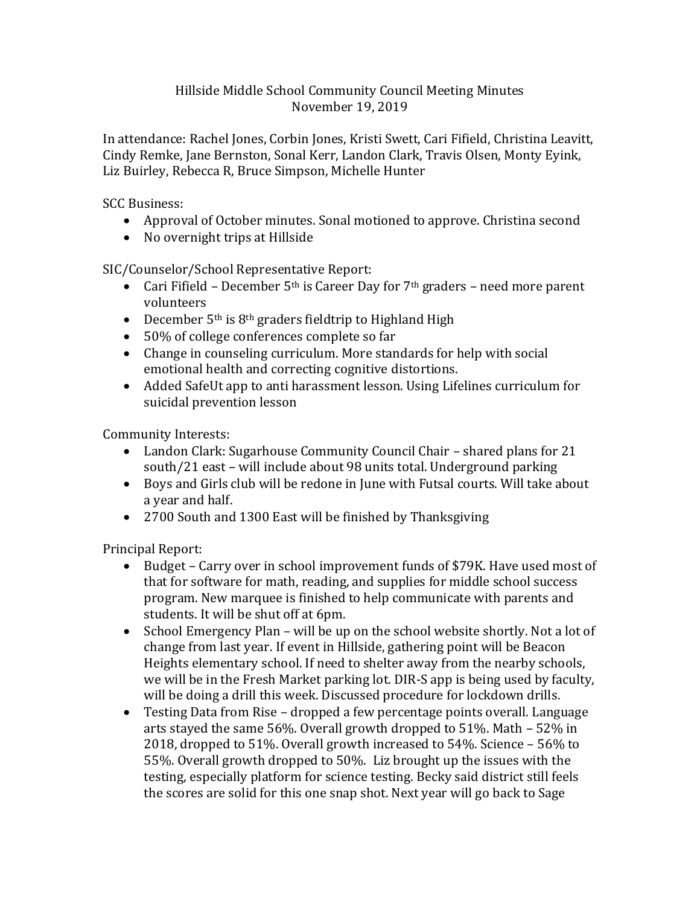## Hillside Middle School Community Council Meeting Minutes November 19, 2019

In attendance: Rachel Jones, Corbin Jones, Kristi Swett, Cari Fifield, Christina Leavitt, Cindy Remke, Jane Bernston, Sonal Kerr, Landon Clark, Travis Olsen, Monty Eyink, Liz Buirley, Rebecca R, Bruce Simpson, Michelle Hunter

SCC Business:

- Approval of October minutes. Sonal motioned to approve. Christina second
- No overnight trips at Hillside

SIC/Counselor/School Representative Report:

- Cari Fifield December  $5<sup>th</sup>$  is Career Day for  $7<sup>th</sup>$  graders need more parent volunteers
- December  $5<sup>th</sup>$  is  $8<sup>th</sup>$  graders fieldtrip to Highland High
- 50% of college conferences complete so far
- Change in counseling curriculum. More standards for help with social emotional health and correcting cognitive distortions.
- Added SafeUt app to anti harassment lesson. Using Lifelines curriculum for suicidal prevention lesson

Community Interests:

- Landon Clark: Sugarhouse Community Council Chair shared plans for 21 south/21 east – will include about 98 units total. Underground parking
- Boys and Girls club will be redone in June with Futsal courts. Will take about a year and half.
- 2700 South and 1300 East will be finished by Thanksgiving

Principal Report:

- Budget Carry over in school improvement funds of \$79K. Have used most of that for software for math, reading, and supplies for middle school success program. New marquee is finished to help communicate with parents and students. It will be shut off at 6pm.
- School Emergency Plan will be up on the school website shortly. Not a lot of change from last year. If event in Hillside, gathering point will be Beacon Heights elementary school. If need to shelter away from the nearby schools, we will be in the Fresh Market parking lot. DIR-S app is being used by faculty, will be doing a drill this week. Discussed procedure for lockdown drills.
- Testing Data from Rise dropped a few percentage points overall. Language arts stayed the same 56%. Overall growth dropped to 51%. Math – 52% in 2018, dropped to 51%. Overall growth increased to 54%. Science – 56% to 55%. Overall growth dropped to 50%. Liz brought up the issues with the testing, especially platform for science testing. Becky said district still feels the scores are solid for this one snap shot. Next year will go back to Sage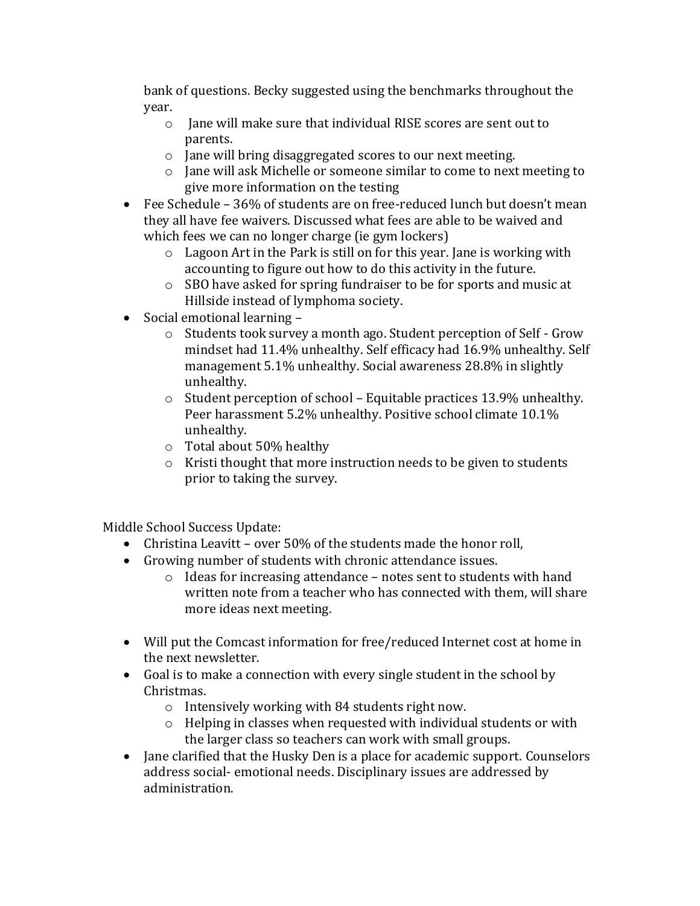bank of questions. Becky suggested using the benchmarks throughout the year.

- o Jane will make sure that individual RISE scores are sent out to parents.
- o Jane will bring disaggregated scores to our next meeting.
- o Jane will ask Michelle or someone similar to come to next meeting to give more information on the testing
- Fee Schedule 36% of students are on free-reduced lunch but doesn't mean they all have fee waivers. Discussed what fees are able to be waived and which fees we can no longer charge (ie gym lockers)
	- o Lagoon Art in the Park is still on for this year. Jane is working with accounting to figure out how to do this activity in the future.
	- o SBO have asked for spring fundraiser to be for sports and music at Hillside instead of lymphoma society.
- Social emotional learning
	- o Students took survey a month ago. Student perception of Self Grow mindset had 11.4% unhealthy. Self efficacy had 16.9% unhealthy. Self management 5.1% unhealthy. Social awareness 28.8% in slightly unhealthy.
	- o Student perception of school Equitable practices 13.9% unhealthy. Peer harassment 5.2% unhealthy. Positive school climate 10.1% unhealthy.
	- o Total about 50% healthy
	- o Kristi thought that more instruction needs to be given to students prior to taking the survey.

Middle School Success Update:

- Christina Leavitt over 50% of the students made the honor roll,
- Growing number of students with chronic attendance issues.
	- o Ideas for increasing attendance notes sent to students with hand written note from a teacher who has connected with them, will share more ideas next meeting.
- Will put the Comcast information for free/reduced Internet cost at home in the next newsletter.
- Goal is to make a connection with every single student in the school by Christmas.
	- o Intensively working with 84 students right now.
	- o Helping in classes when requested with individual students or with the larger class so teachers can work with small groups.
- Jane clarified that the Husky Den is a place for academic support. Counselors address social- emotional needs. Disciplinary issues are addressed by administration.